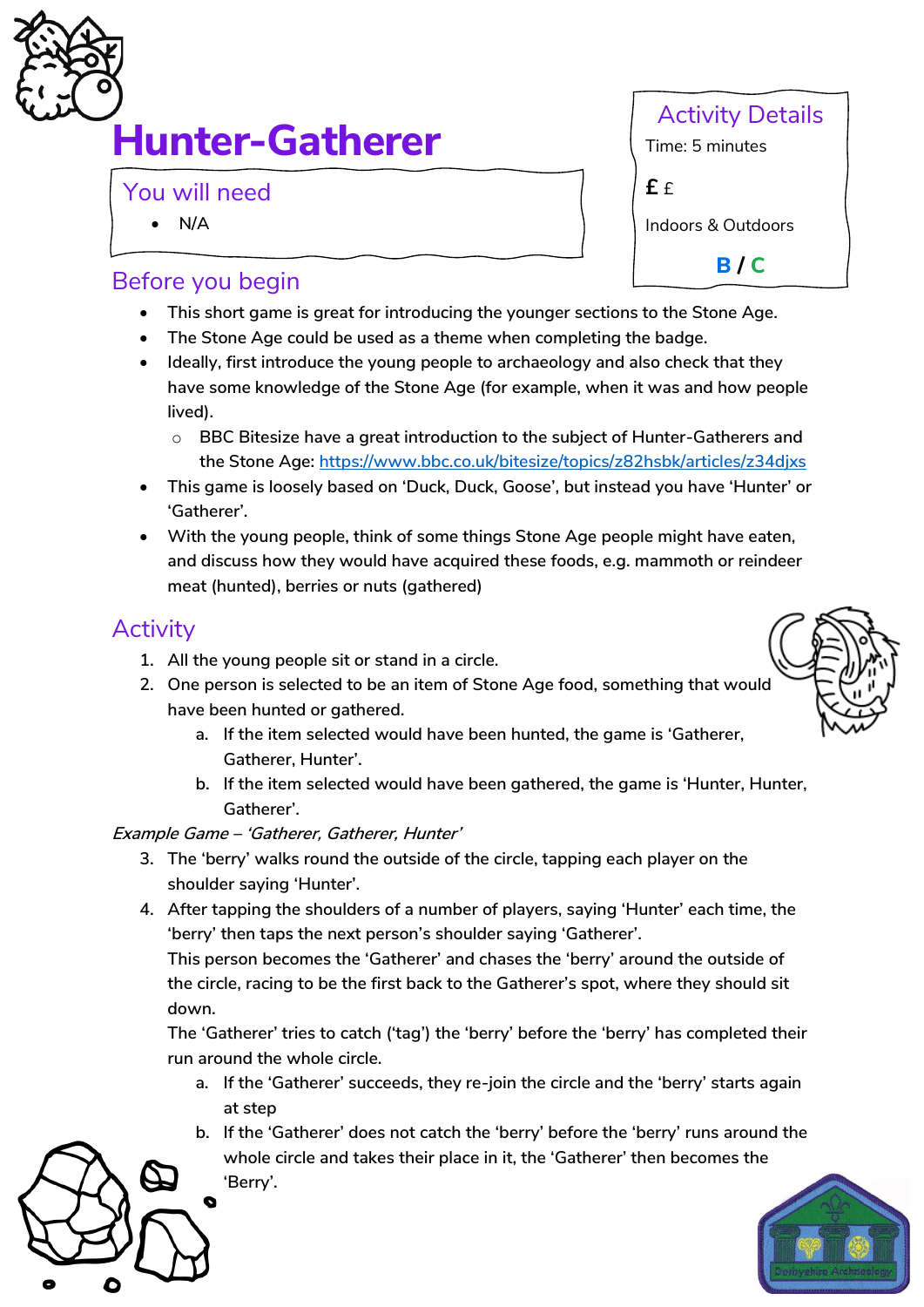

# **Hunter-Gatherer**

You will need

• **N/A**

## Before you begin

- **This short game is great for introducing the younger sections to the Stone Age.**
- **The Stone Age could be used as a theme when completing the badge.**
- **Ideally, first introduce the young people to archaeology and also check that they have some knowledge of the Stone Age (for example, when it was and how people lived).**
	- o **BBC Bitesize have a great introduction to the subject of Hunter-Gatherers and the Stone Age:<https://www.bbc.co.uk/bitesize/topics/z82hsbk/articles/z34djxs>**
- **This game is loosely based on 'Duck, Duck, Goose', but instead you have 'Hunter' or 'Gatherer'.**
- **With the young people, think of some things Stone Age people might have eaten, and discuss how they would have acquired these foods, e.g. mammoth or reindeer meat (hunted), berries or nuts (gathered)**

## **Activity**

- **1. All the young people sit or stand in a circle.**
- **2. One person is selected to be an item of Stone Age food, something that would have been hunted or gathered.**
	- **a. If the item selected would have been hunted, the game is 'Gatherer, Gatherer, Hunter'.**
	- **b. If the item selected would have been gathered, the game is 'Hunter, Hunter, Gatherer'.**

#### **Example Game – 'Gatherer, Gatherer, Hunter'**

- **3. The 'berry' walks round the outside of the circle, tapping each player on the shoulder saying 'Hunter'.**
- **4. After tapping the shoulders of a number of players, saying 'Hunter' each time, the 'berry' then taps the next person's shoulder saying 'Gatherer'.**

**This person becomes the 'Gatherer' and chases the 'berry' around the outside of the circle, racing to be the first back to the Gatherer's spot, where they should sit down.**

**The 'Gatherer' tries to catch ('tag') the 'berry' before the 'berry' has completed their run around the whole circle.** 

- **a. If the 'Gatherer' succeeds, they re-join the circle and the 'berry' starts again at step**
- **b. If the 'Gatherer' does not catch the 'berry' before the 'berry' runs around the whole circle and takes their place in it, the 'Gatherer' then becomes the 'Berry'.**







Activity Details Time: 5 minutes **£** £ Indoors & Outdoors

**B / C**